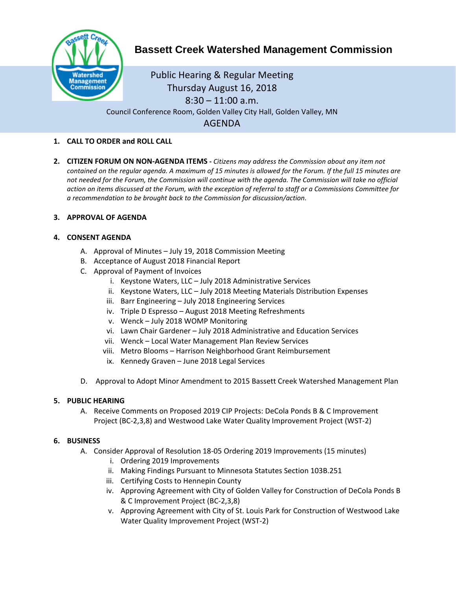

# **Bassett Creek Watershed Management Commission**

Public Hearing & Regular Meeting Thursday August 16, 2018  $8:30 - 11:00$  a.m. Council Conference Room, Golden Valley City Hall, Golden Valley, MN AGENDA

## **1. CALL TO ORDER and ROLL CALL**

**2. CITIZEN FORUM ON NON-AGENDA ITEMS -** *Citizens may address the Commission about any item not contained on the regular agenda. A maximum of 15 minutes is allowed for the Forum. If the full 15 minutes are*  not needed for the Forum, the Commission will continue with the agenda. The Commission will take no official *action on items discussed at the Forum, with the exception of referral to staff or a Commissions Committee for a recommendation to be brought back to the Commission for discussion/action.*

#### **3. APPROVAL OF AGENDA**

## **4. CONSENT AGENDA**

- A. Approval of Minutes July 19, 2018 Commission Meeting
- B. Acceptance of August 2018 Financial Report
- C. Approval of Payment of Invoices
	- i. Keystone Waters, LLC July 2018 Administrative Services
	- ii. Keystone Waters, LLC July 2018 Meeting Materials Distribution Expenses
	- iii. Barr Engineering July 2018 Engineering Services
	- iv. Triple D Espresso August 2018 Meeting Refreshments
	- v. Wenck July 2018 WOMP Monitoring
	- vi. Lawn Chair Gardener July 2018 Administrative and Education Services
	- vii. Wenck Local Water Management Plan Review Services
	- viii. Metro Blooms Harrison Neighborhood Grant Reimbursement
	- ix. Kennedy Graven June 2018 Legal Services
- D. Approval to Adopt Minor Amendment to 2015 Bassett Creek Watershed Management Plan

#### **5. PUBLIC HEARING**

A. Receive Comments on Proposed 2019 CIP Projects: DeCola Ponds B & C Improvement Project (BC-2,3,8) and Westwood Lake Water Quality Improvement Project (WST-2)

#### **6. BUSINESS**

- A. Consider Approval of Resolution 18-05 Ordering 2019 Improvements (15 minutes)
	- i. Ordering 2019 Improvements
	- ii. Making Findings Pursuant to Minnesota Statutes Section 103B.251
	- iii. Certifying Costs to Hennepin County
	- iv. Approving Agreement with City of Golden Valley for Construction of DeCola Ponds B & C Improvement Project (BC-2,3,8)
	- v. Approving Agreement with City of St. Louis Park for Construction of Westwood Lake Water Quality Improvement Project (WST-2)